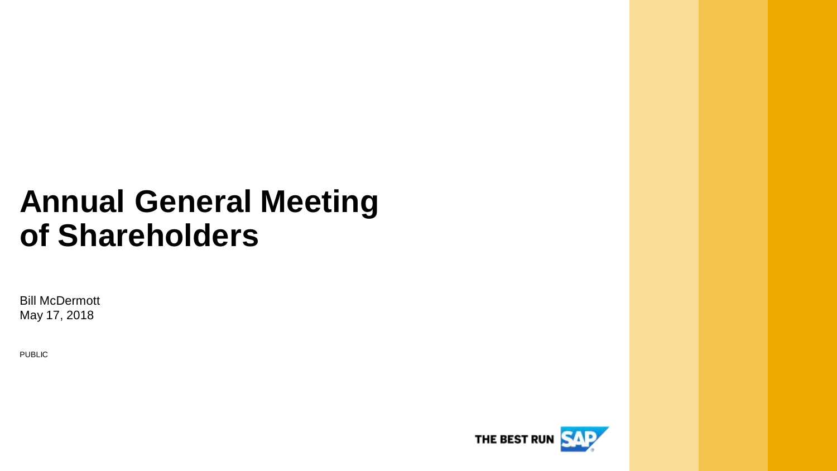## **Annual General Meeting of Shareholders**

Bill McDermott May 17, 2018

PUBLIC

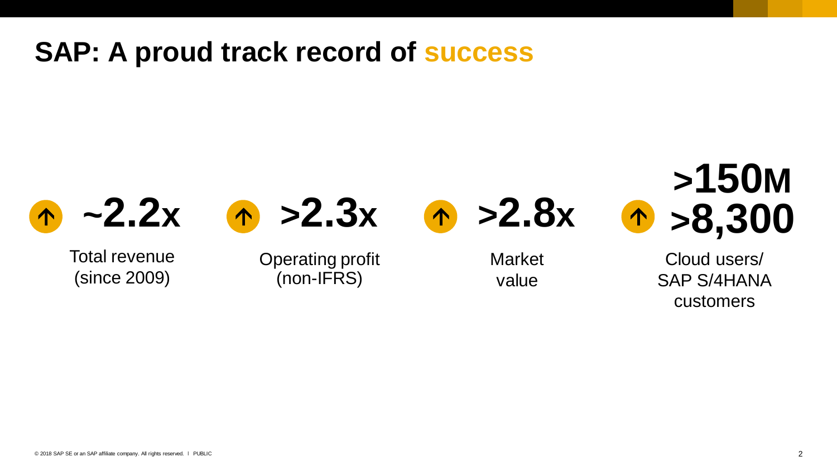#### **SAP: A proud track record of success**

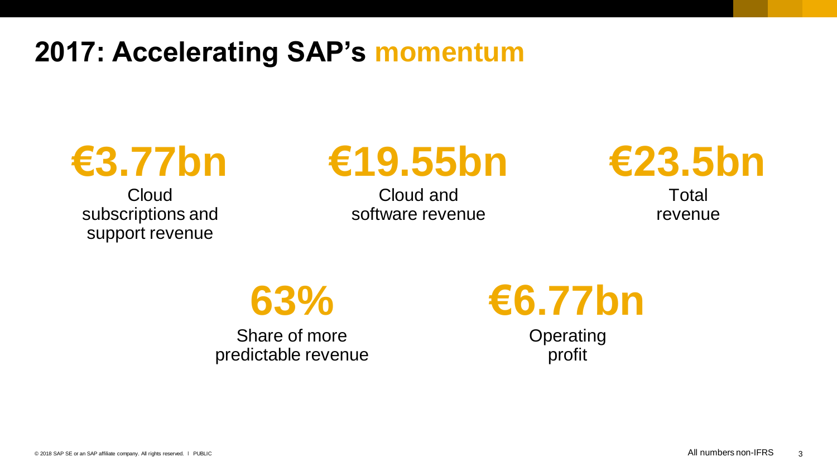**2017: Accelerating SAP's momentum**

**Cloud** subscriptions and support revenue

# **€3.77bn €19.55bn €23.5bn**

Cloud and software revenue



Total revenue

**63%**

Share of more predictable revenue



**Operating** profit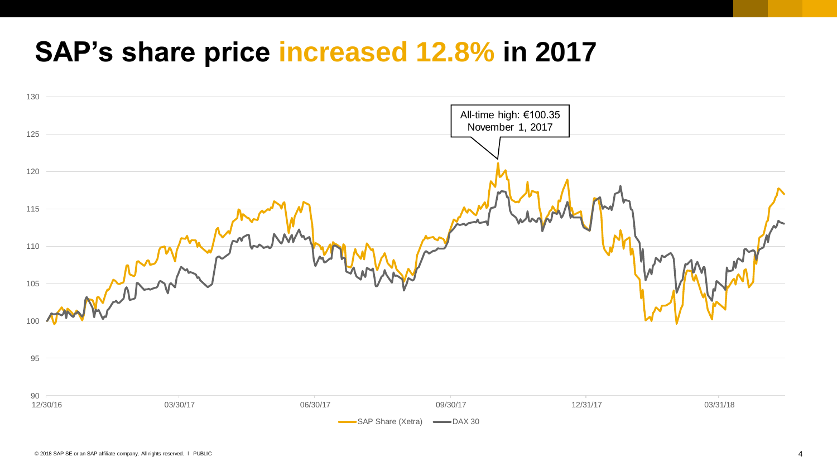#### **SAP's share price increased 12.8% in 2017**

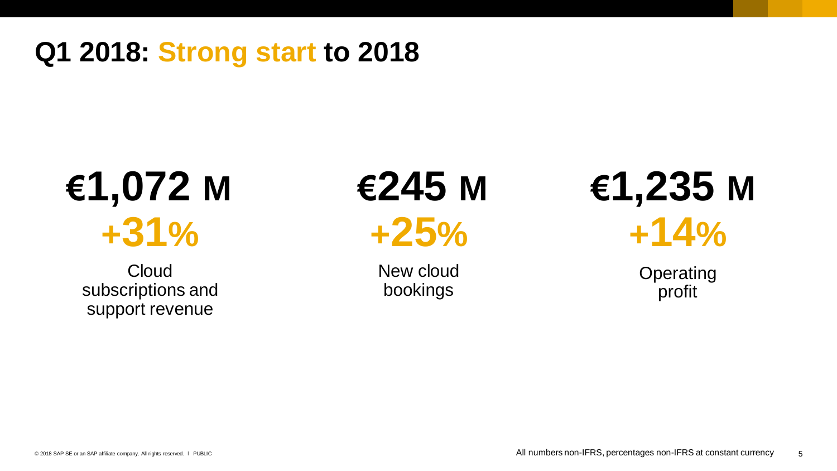#### **Q1 2018: Strong start to 2018**

# **+31% +25% €1,072 M €245 M €1,235 M**

**Cloud** subscriptions and support revenue

New cloud bookings

**+14%**

**Operating** profit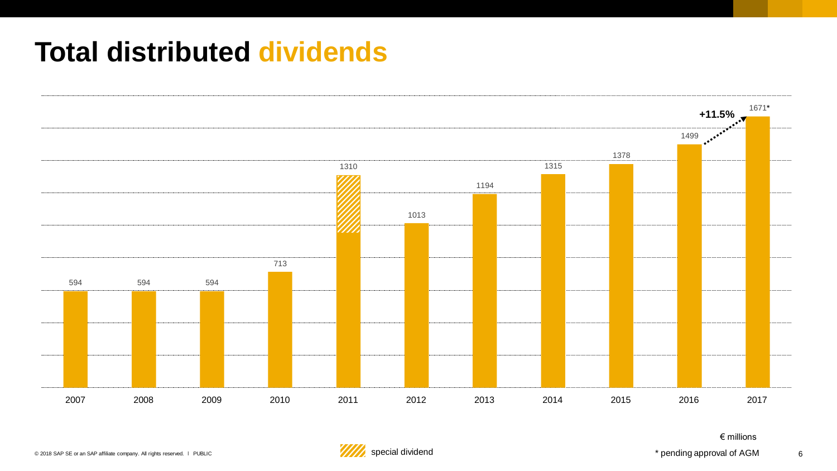#### **Total distributed dividends**



€ millions

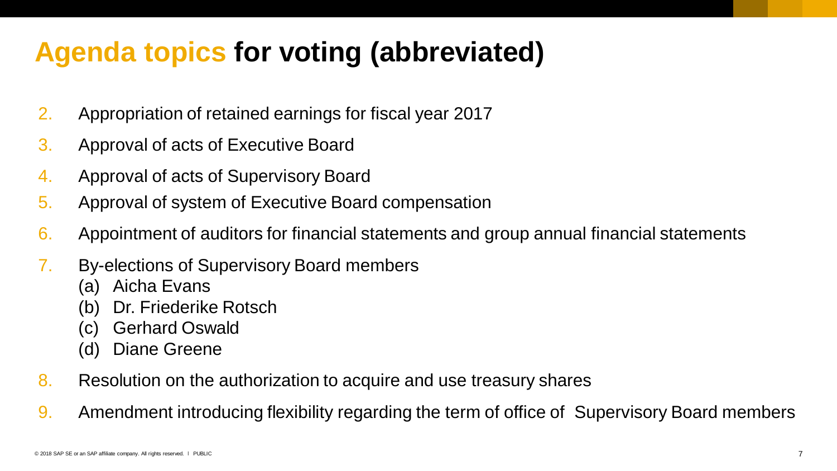#### **Agenda topics for voting (abbreviated)**

- 2. Appropriation of retained earnings for fiscal year 2017
- 3. Approval of acts of Executive Board
- 4. Approval of acts of Supervisory Board
- 5. Approval of system of Executive Board compensation
- 6. Appointment of auditors for financial statements and group annual financial statements
- 7. By-elections of Supervisory Board members
	- (a) Aicha Evans
	- (b) Dr. Friederike Rotsch
	- (c) Gerhard Oswald
	- (d) Diane Greene
- 8. Resolution on the authorization to acquire and use treasury shares
- 9. Amendment introducing flexibility regarding the term of office of Supervisory Board members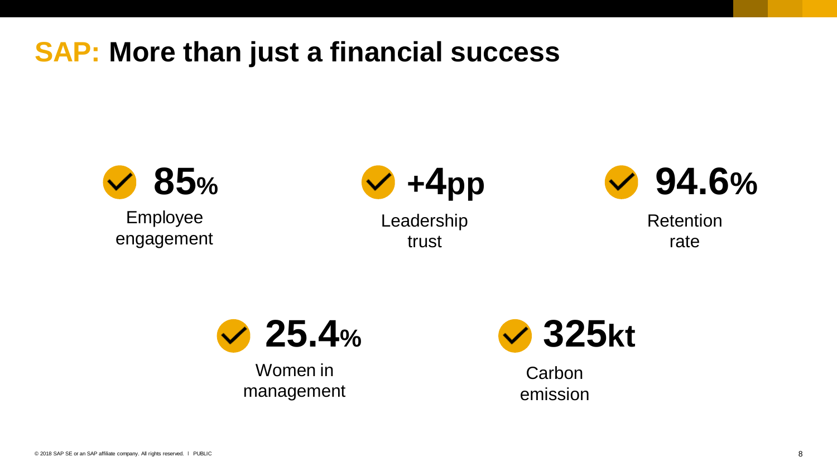#### **SAP: More than just a financial success**



Employee engagement



Leadership trust



Retention rate



Women in management



**Carbon** emission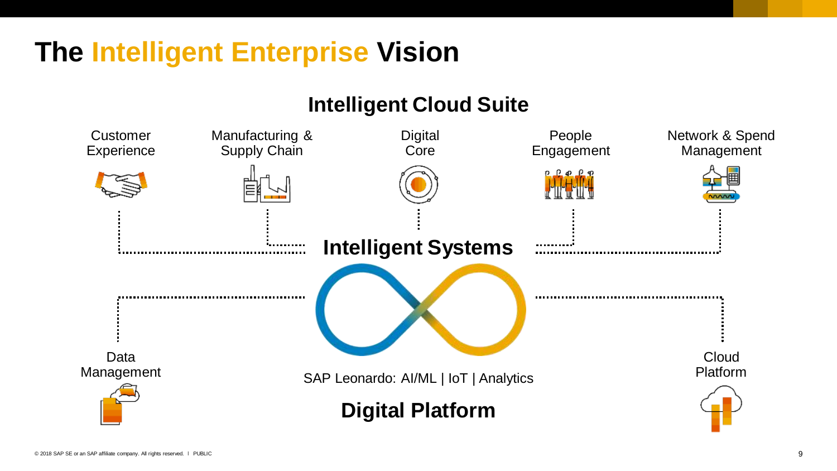### **The Intelligent Enterprise Vision**

#### **Intelligent Cloud Suite**